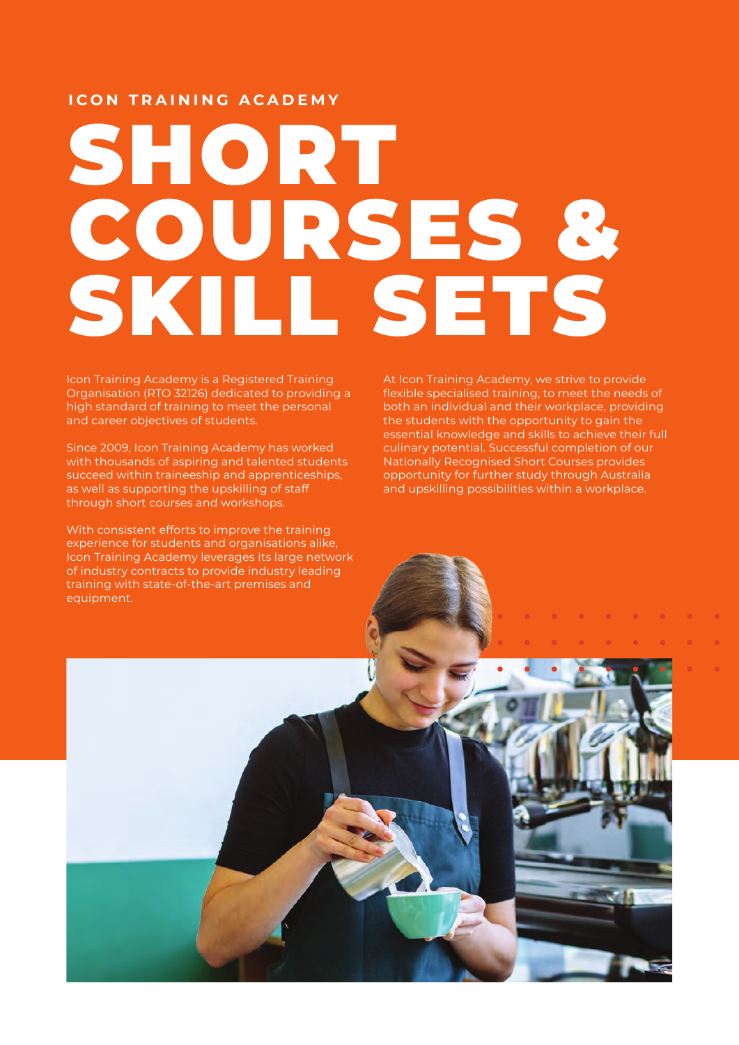# **ICON TRAINING ACADEMY**

# SHORT COURSES & SKILL SETS

Icon Training Academy is a Registered Training Organisation (RTO 32126) dedicated to providing a high standard of training to meet the personal and career objectives of students.

Since 2009, Icon Training Academy has worked with thousands of aspiring and talented students succeed within traineeship and apprenticeships, as well as supporting the upskilling of staff through short courses and workshops.

With consistent efforts to improve the training experience for students and organisations alike, Icon Training Academy leverages its large network of industry contracts to provide industry leading training with state-of-the-art premises and equipment.

At Icon Training Academy, we strive to provide flexible specialised training, to meet the needs of both an individual and their workplace, providing the students with the opportunity to gain the essential knowledge and skills to achieve their full culinary potential. Successful completion of our Nationally Recognised Short Courses provides opportunity for further study through Australia and upskilling possibilities within a workplace.